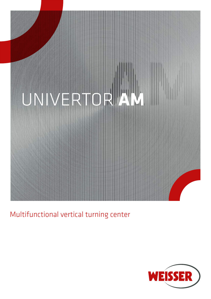

Multifunctional vertical turning center

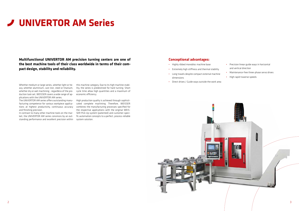- Highly ribbed monobloc machine base
- Extremely high stiffness and thermal stability
- Long travels despite compact external machine dimensions
- Direct drives / Guide ways outside the work area

### **Conceptional advantages:**

- Precision linear guide ways in horizontal and vertical direction
- Maintenance-free three-phase servo drives
- High rapid traverse speeds

**Multifunctional UNIVERTOR AM precision turning centers are one of the best machine tools of their class worldwide in terms of their compact design, stability and reliability.**

Whether medium or large series, whether light or heavy, whether aluminium, cast iron, steel or titanium, whether dry or wet machining - regardless of the production task set, WEISSER covers a wide range of applications with the UNIVERTOR AM series.

The UNIVERTOR AM series offers outstanding manufacturing competence for various workpiece applications at highest productivity, continuous accuracy and finishing precision.

In contrast to many other machine tools on the market, the UNIVERTOR AM series convinces by an outstanding performance and excellent precision within

# **UNIVERTOR AM Series**

this machine category. Due to its high machine stability, the series is predestined for hard turning. Short cycle time allow high quantities and a maximum of economic efficiency.

High production quality is achieved through sophisticated complete machining. Therefore, WEISSER combines the manufacturing processes specified for the respective applications with the original WEIS-SER Pick-Up system (patented) and customer-specific automation concepts to a perfect, process-reliable system solution.

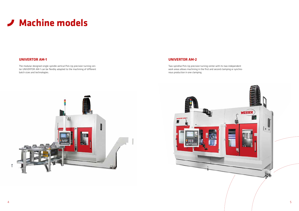

The modular designed single-spindle vertical Pick-Up precision turning center UNIVERTOR AM-1 can be flexibly adapted to the machining of different batch sizes and technologies.

### **UNIVERTOR AM-1**

Two-spindlse Pick-Up precision turning center with its two independent work areas allows machining in the first and second clamping or synchronous production in one clamping.



## **UNIVERTOR AM-2**

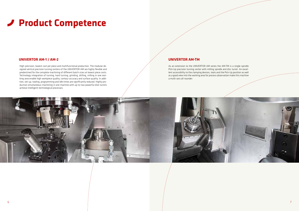## **UNIVERTOR AM-1 / AM-2**

## **Product Competence**

High-precision, lowest cost per piece and multifunctional production. The modular designed vertical precision turning centers of the UNIVERTOR AM are highly flexible and predestined for the complete machining of different batch sizes at lowest piece costs. Technology integration of turning, hard turning, grinding, drilling, milling in one working area enable high workpiece quality, contour accuracy and surface quality. In addition, set-up, tooling, programming and idle times are significantly reduced. Highly productive simultaneous machining in one machine with up to two powerful disk turrets achieve intelligent technological processes.

### **UNIVERTOR AM-TM**

As an extension to the UNIVERTOR AM series the AM-TM is a single-spindle Pick-Up precision turning center with milling spindle and disc turret. An excellent accessibility to the clamping devices, tools and the Pick-Up position as well as a good view into the working area for process observation make this machine a multi-axis all-rounder.

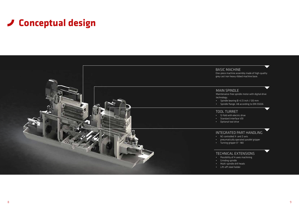## **Conceptual design**

## BASIC MACHINE

One-piece machine assembly made of high-quality grey cast iron heavy ribbed machine base.

Maintenance-free spindle motor with digital drive • Spindle bearing Ø: 4,72 inch / 120 mm • Spindle flange: A8 according to DIN 55026

• 12-fold with electric drive • Standard interface VDI • Optional tool drive



## INTEGRATED PART HANDLING

• NC-controlled X- and Z-axis • pneumatically operated parallel gripper • Turning gripper 0°- 180

## TECHNICAL EXTENSIONS

• Possibility of 4-axes machining • Multi-spindle drill heads • Lift-off steel holder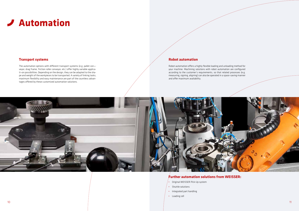## **Automation**

## **Transport systems Robot automation**

The automation options with different transport systems (e.g. pallet con¬ veyor, drag frame, friction roller conveyor, etc.) offer highly variable applicati¬on possibilities. Depending on the design, they can be adapted to the shape and weight of the workpieces to be transported. A variety of linking tasks, maximum flexibility and easy maintenance are part of the countless advantages offered by these customized automation solutions.

Robot automation offers a highly flexible loading and unloading method for your machine. Machining solutions with robot automation are configured according to the customer's requirements, so that related processes (e.g. measuring, signing, aligning) can also be operated in a space-saving manner and offer maximum availability.



- Original WEISSER Pick-Up system
- Shuttle solutions
- Integrated part handling
- Loading cell

### **Further automation solutions from WEISSER:**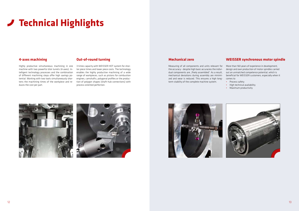## **WEISSER synchronous motor spindle**

# **Technical Highlights**

More than 160 years of experience in development, design and own production of motor spindles carried out an unmatched competence potential, which is beneficial for WEISSER customers, especially when it comes to

- Process safety
- High technical availability
- Maximum productivity

![](_page_6_Picture_16.jpeg)

## **Mechanical zero**

Measuring of all components and units relevant for the accuracy - despite high basic accuracies the individual components are "finely assembled". As a result, mechanical deviations during assembly are minimized and wear is reduced. This ensures a high longterm stability of the complete machine system.

![](_page_6_Picture_7.jpeg)

![](_page_6_Picture_8.jpeg)

![](_page_6_Picture_9.jpeg)

## **Out-of-round turning**

3 times capacity with WEISSER HOT system for shorter piece times and lower piece costs. The technology enables the highly productive machining of a wide range of workpieces, such as pistons for combustion engines, camshafts, polygonal profiles or the production of polygon shapes (shaft-hub connections) with process-oriented perfection.

## **4-axes machining**

Highly productive simultaneous machining in one machine with two powerful disk turrets (4-axes). Intelligent technology processes and the combination of different machining steps offer high savings potential. Working with two tools simultaneously shortens the machining times of the workpiece and reduces the cost per part.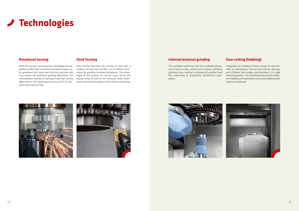## **Rotational turning**

## **Technologies**

With the rotation turning process developed and patented by WEISSER, precisely machined surfaces can be generated with twist-free finishing precision and thus replace the expensive grinding operations. The simultaneous rotation of workpiece and tool cutting edge reduces the machining time by up to 77 % compared with hard turning.

## **Hard Turning**

Hard turning describes the turning of steel with a hardness of more than 45 HRC. It is an efficient alternative for grinding hardened workpieces. The advantages of this process are shorter cycle, set-up and tooling times as well as the relatively lower investment costs and the options of wet and dry machining.

## **Internal/external grinding**

The complete machining from the combined processes of hard turning, internal and external cylindrical grinding in one machine is exemplary for perfect hard fine machining of rotationally symmetrical workpieces.

![](_page_7_Picture_7.jpeg)

![](_page_7_Picture_8.jpeg)

## **Gear cutting (hobbing)**

Integration of a hobbing module, being the only method to manufacture internal and external gearings with different helix angles and directions in a single machining center. This manufacturing process combines hobbing and slotting by continuous hobbing with maximum feed rate.

![](_page_7_Picture_12.jpeg)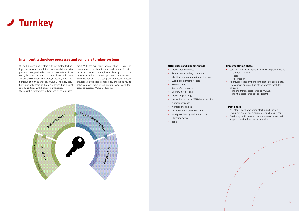![](_page_8_Picture_0.jpeg)

#### **Offer phase and planning phase**

- Process requirements
- Production boundary conditions
- Machine requirements & machine type
- Workpiece clamping / Tools
- MFU features
- Terms of acceptance
- Delivery instructions
- Processing strategy
- Inspection of critical MFU characteristics
- Number of fixings
- Number of spindles
- Design of the machine system
- Workpiece loading and automation
- Clamping device
- Tools

#### **Implementation phase**

- Construction and integration of the workpiece-specific
	- Clamping fixtures
	- Tools
	- Automation
- Approval process of the tooling plan, layout plan, etc.
- The verification procedure of the process capability through
	- the preliminary acceptance at WEISSER
	- the final acceptance at the customer

#### **Target phase**

- Assistance with production startup and support
- Training in operation, programming and maintenance
- Service e.g. with preventive maintenance, spare part support, qualified service personnel, etc.

## **Intelligent technology processes and complete turnkey systems**

WEISSER machining centers with integrated technology concepts are the solution to demands for shorter process times, productivity and process safety. Shorter cycle times and the associated lower unit costs are decisive competitive factors, especially when manufacturing high quantities. WEISSER turnkey solutions not only score at high quantities but also at small quantities with high set-up flexibility. We pass this competitive advantage on to our custo-

mers. With the experience of more than 160 years of development, construction and realization of customized machines, our engineers develop today the most economical solution upon your requirements. The development of the complete production process provides you full cost transparency and helps you to solve complex tasks in an optimal way. With four steps to success. WEISSER Turnkey.

![](_page_8_Figure_4.jpeg)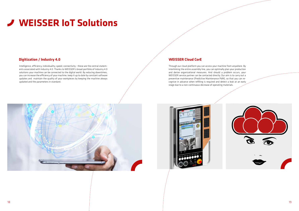## **Digitization / Industry 4.0**

# **WEISSER IoT Solutions**

Intelligence, efficiency, individuality, speed, connectivity - these are the central statements associated with Industry 4.0. Thanks to WEISSER's broad portfolio of Industry 4.0 solutions your machine can be connected to the digital world. By reducing downtimes, you can increase the efficiency of your machine, keep it up to date by constant software updates and maintain the quality of your workpieces by keeping the machine always updated and the parameters in standard.

## **WEISSER Cloud CorE**

Through our cloud platform you can access your machine from anywhere. By interlinking the entire assembly line, you can optimally plan your production and derive organizational measures. And should a problem occurs, your WEISSER service partner can be contacted directly. Our aim is to carry out a preventive maintenance (Predictive Maintenance PdM), so that you can recognize in advance when refilling is required and detect a leak at an early stage due to a non-continuous decrease of operating materials.

![](_page_9_Picture_5.jpeg)

![](_page_9_Picture_6.jpeg)

![](_page_9_Picture_8.jpeg)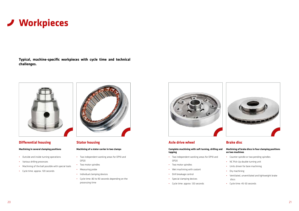## **Differential housing**

#### **Machining in several clamping positions**

- Outside and inside turning operations
- Various drilling processes
- Machining of the ball possible with special tools
- Cycle time: approx. 120 seconds

![](_page_10_Picture_9.jpeg)

## **Stator housing**

#### **Machining of a stator carrier in two clamps**

- Two independent working areas for OP10 and OP20
- Two motor spindles
- Measuring probe
- Individual clamping devices
- Cycle time: 80 to 90 seconds depending on the processing time

![](_page_10_Picture_17.jpeg)

## **Axle drive wheel**

#### **Complete machining with soft turning, drilling and tapping**

- Two independent working areas for OP10 and OP20
- Two motor spindles
- Wet machining with coolant
- Drill breakage control
- Special clamping devices
- Cycle time: approx. 120 seconds

## **Brake disc**

#### **Machining of brake discs in four clamping positions on two machines**

- Counter spindle or two pending spindles
- NC Pick-Up double turning unit
- Units driven for bore machining
- Dry machining
- Ventilated, unventilated and lightweight brake discs
- Cycle time: 45-50 seconds

![](_page_10_Picture_0.jpeg)

**Typical, machine-specific workpieces with cycle time and technical challenges.**

![](_page_10_Picture_2.jpeg)

![](_page_10_Picture_27.jpeg)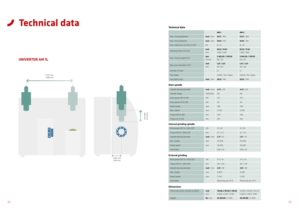|                                |              | <b>AM-1</b>                  | <b>AM-2</b>                  |
|--------------------------------|--------------|------------------------------|------------------------------|
| Max. turning diameter          | inch / mm    | 14,17 / 360                  | 14,17 / 360                  |
| Max. chuck diameter            | inch / mm    | 16,14 / 410                  | 16,14 / 410                  |
| Max. Feed force X/Z (40 % CDF) | kN           | 8/10                         | 8/10                         |
| Working stroke X/Z-axis        | inch<br>mm   | 55,12 / 17,32<br>1.400 / 440 | 55,12 / 17,32<br>1.400 / 440 |
| Max. Process speed X/Z         | ipm<br>m/min | 2.362,20 / 1.181,10<br>60/30 | 2.362,20 / 1.181,10<br>60/30 |
| Ball screw diameter X1/Z1      | inch<br>mm   | 1,57/1,57<br>40/40           | 1,57/1,57<br>40/40           |
| Number of tools                |              | 12                           | 12                           |
| Tool holder                    |              | VDI40 / 50 / Capto           | VDI40 / 50 / Capto           |
| Tool flight circle             | inch / mm    | 29,13 / 740                  | 29,13 / 740                  |

| Spindle bearing diameter | inch / mm | 4,72/120       | 4,72/120 |
|--------------------------|-----------|----------------|----------|
| Spindle flange           | DIN55026  | A <sub>8</sub> | A8       |
| Drive power 100 % CDF    | kW        | 35,1           | 35,1     |
| Drive power 40 % CDF     | kW        | 40             | 40       |
| Rated speed              | rpm       | 780            | 780      |
| Max. Speed               | rpm       | 3.500          | 3.500    |
| Torque 100 % CDF         | Nm        | 430            | 430      |
| Torque 40 % CDF          | Nm        | 610            | 610      |

### **Main spindle**

#### **Technical data**

| Dimensions basic machine (LxWxH) | inch                           | 133,86 x 101,85 x 125,59 | 212,60 x 101,85 x 125,59 |
|----------------------------------|--------------------------------|--------------------------|--------------------------|
|                                  | mm                             | 3.400 x 2.587 x 3.190    | 5.400 x 2.587 x 3.190    |
| Weight                           | $\mathsf{lbs}$ / $\mathsf{kg}$ | 24.250.85 / 11.000       | 46.297,08 / 21.000       |

#### **Dimensions**

| Drive power 100 % / 60% CDF | kW             | 15/18   | 15/18   |
|-----------------------------|----------------|---------|---------|
| Torque 100 % / 60% CDF      | N <sub>m</sub> | 4,7/5,7 | 4,7/5,7 |
| Spindle bearing diameter    | inch / mm      | 1,77/45 | 1,77/45 |
| Max. Speed                  | rpm            | 45.000  | 45,000  |
| Rated speed                 | rpm            | 30,000  | 30,000  |
| Tool holder                 |                | D28/43  | D28/43  |

### **Internal grinding spindle**

| Drive power 100 % / 60% CDF | kW            | 11.5 / 14          | 11.5 / 14          |
|-----------------------------|---------------|--------------------|--------------------|
| Torque 100 % / 60% CDF      | <sub>Nm</sub> | 39.7 / 49          | 39.7 / 49          |
| Spindle bearing diameter    | inch / mm     | 3,15/80            | 3,15/80            |
| Max. Speed                  | rpm           | 6.000              | 6.000              |
| Rated speed                 | rpm           | 2.700              | 2.700              |
| Tool holder                 |               | Mounting cole Ø 73 | Mounting cole Ø 73 |

#### **External grinding**

# **Technical data**

## **UNIVERTOR AM 1L**

![](_page_11_Figure_3.jpeg)

440 mm

14,96 inch 380 mm